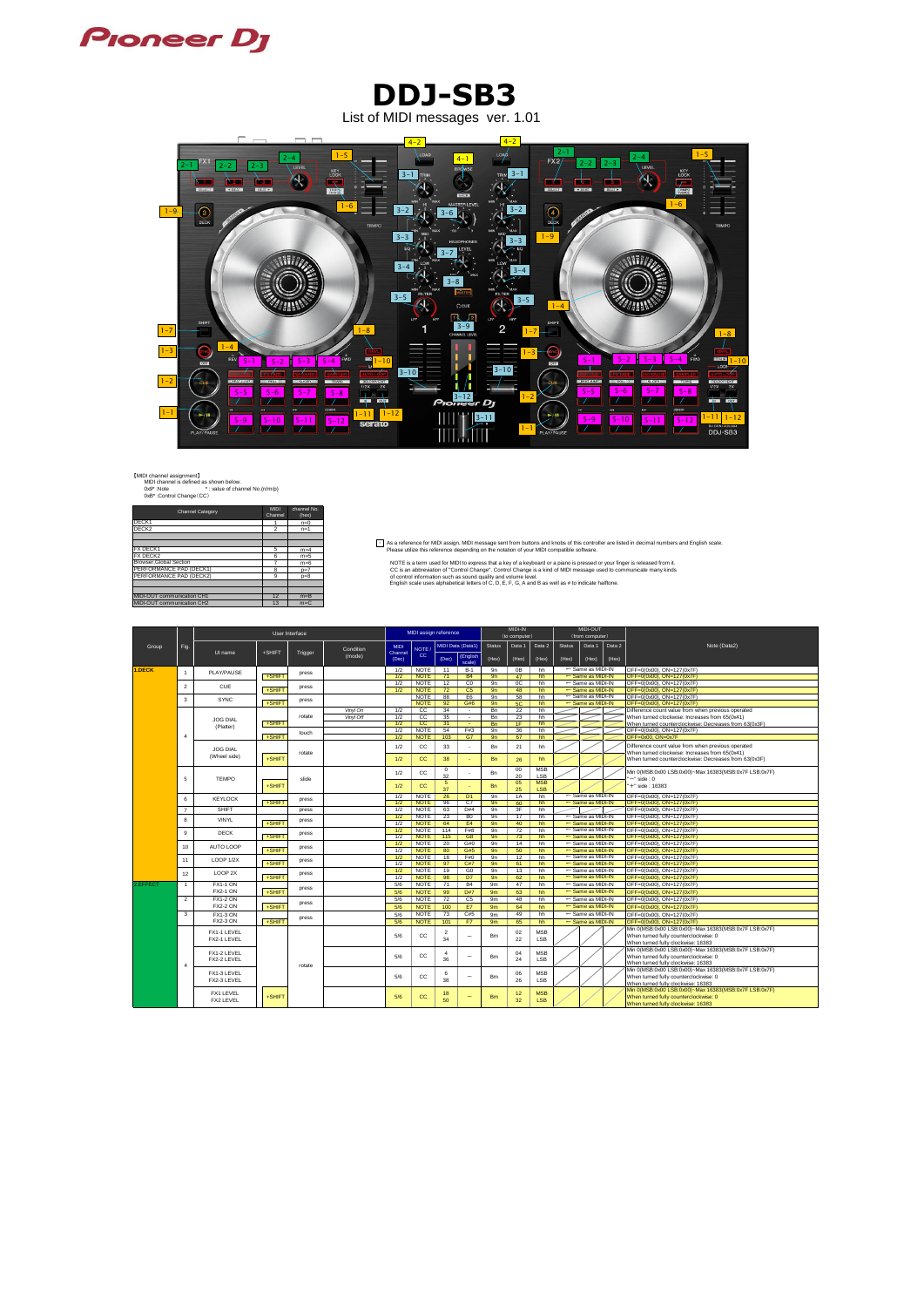【MIDI channel assignment】 MIDI channel is defined as shown below. 0x9\* :Note \* : value of channel No.(n/m/p) 0xB\* :Control Change(CC)

| <b>Channel Category</b>           | <b>MIDI</b><br>Channel  | channel No.<br>(hex) |
|-----------------------------------|-------------------------|----------------------|
| DECK1                             |                         | $n=0$                |
| DECK <sub>2</sub>                 | $\overline{\mathbf{c}}$ | $n=1$                |
|                                   |                         |                      |
|                                   |                         |                      |
| <b>FX DECK1</b>                   | 5                       | $m=4$                |
| <b>FX DECK2</b>                   | 6                       | $m=5$                |
| <b>Browser.Global Section</b>     | 7                       | $m=6$                |
| PERFORMANCE PAD (DECK1)           | 8                       | $p=7$                |
| PERFORMANCE PAD (DECK2)           | 9                       | $p=8$                |
|                                   |                         |                      |
|                                   |                         |                      |
| <b>MIDI-OUT communication CH1</b> | 12                      | $m = B$              |
| MIDI-OUT communication CH2        | 13                      | $m=C$                |

Light are dividence for MIDI assign, MIDI message sent from buttons and knobs of this controller are listed in decimal numbers and English scale.<br>Figure 1898 Please utilize this reference depending on the notation of your

 $\frac{m=6}{p=7}$ <br>  $\frac{m=6}{p=8}$ <br>  $\frac{m=8}{p=8}$ <br>  $\frac{m=8}{p=8}$ <br>  $\frac{m=8}{p=8}$ <br>  $\frac{m=8}{p=8}$ <br>  $\frac{m=8}{p=8}$ <br>  $\frac{m=8}{p=8}$ <br>  $\frac{m=8}{p=8}$ <br>  $\frac{m=8}{p=8}$ <br>  $\frac{m=8}{p=8}$ <br>  $\frac{m=8}{p=8}$ <br>  $\frac{m=8}{p=8}$ <br>  $\frac{m=8}{p=8}$ <br>  $\frac{m=8}{p=8$ 

|          |                | User Interface     |        |         |                     |                        | MIDI assign reference      |                |                                      | MIDI-IN       |               |            | <b>MIDI-OUT</b> |                                        |        |                                                                                             |
|----------|----------------|--------------------|--------|---------|---------------------|------------------------|----------------------------|----------------|--------------------------------------|---------------|---------------|------------|-----------------|----------------------------------------|--------|---------------------------------------------------------------------------------------------|
|          |                |                    |        |         |                     |                        |                            |                |                                      |               | (to computer) |            | (from computer) |                                        |        |                                                                                             |
| Group    | Fig.           | UI name            | +SHIFT | Trigger | Condition<br>(mode) | <b>MIDI</b><br>Channel | NOTE<br>cc                 |                | <b>MIDI Data (Data1)</b><br>(English | <b>Status</b> | Data 1        | Data 2     | <b>Status</b>   | Data 1                                 | Data 2 | Note (Data2)                                                                                |
|          |                |                    |        |         |                     | (Dec)                  |                            | (Dec)          | scale)                               | (Hex)         | (Hex)         | (Hex)      | (Hex)           | (Hex)                                  | (Hex)  |                                                                                             |
| 1.DECK   |                |                    |        |         |                     | 1/2                    | NOTE                       | 11             | $B-1$                                | 9n            | 0B            | hh         |                 | ← Same as MIDI-IN                      |        | OFF=0(0x00), ON=127(0x7F)                                                                   |
|          | $\overline{1}$ | PLAY/PAUSE         | +SHIFT | press   |                     | 1/2                    | <b>NOTE</b>                | 71             | <b>B4</b>                            | 9n            | 47            | hh         |                 | $\leftarrow$ Same as MIDI-IN           |        | OFF=0(0x00), ON=127(0x7F)                                                                   |
|          |                | CUE                |        |         |                     | 1/2                    | <b>NOTE</b>                | 12             | Co                                   | 9n            | 0C            | hh         |                 | $\leftarrow$ Same as MIDI-IN           |        | OFF=0(0x00), ON=127(0x7F)                                                                   |
|          | $\overline{2}$ |                    | +SHIFT | press   |                     | 1/2                    | <b>NOTE</b>                | 72             | C <sub>5</sub>                       | 9n            | 48            | hh         |                 | ← Same as MIDI-IN                      |        | OFF=0(0x00), ON=127(0x7F)                                                                   |
|          | 3              | <b>SYNC</b>        |        | press   |                     |                        | <b>NOTE</b>                | 88             | E <sub>6</sub>                       | 9n            | 58            | hh         |                 | ← Same as MIDI-IN                      |        | OFF=0(0x00), ON=127(0x7F)                                                                   |
|          |                |                    | +SHIFT |         |                     |                        | <b>NOTE</b>                | 92             | G#6                                  | 9n            | 5C            | hh         |                 | $\leftarrow$ Same as MIDI-IN           |        | OFF=0(0x00), ON=127(0x7F)                                                                   |
|          |                |                    |        |         | Vinyl On            | 1/2                    | $\overline{cc}$            | 34             | $\sim$                               | <b>Bn</b>     | 22            | hh         |                 |                                        |        | Difference count value from when previous operated                                          |
|          |                | JOG DIAL           |        | rotate  | Vinyl Off           | 1/2                    | CC.                        | 35             | $\sim$                               | <b>Bn</b>     | 23            | hh         |                 |                                        |        | When turned clockwise: Increases from 65(0x41)                                              |
|          |                | (Platter)          | +SHIFT |         |                     | 1/2<br>1/2             | cc<br><b>NOTE</b>          | 31             |                                      | <b>Bn</b>     | 1F            | hh         |                 |                                        |        | When turned counterclockwise: Decreases from 63(0x3F)                                       |
|          | $\overline{4}$ |                    | +SHIFT | touch   |                     | 1/2                    | <b>NOTE</b>                | 54<br>103      | F#3<br>G7                            | 9n<br>9n      | 36<br>67      | hh<br>hh   |                 |                                        |        | OFF=0(0x00), ON=127(0x7F)<br>OFF=0x00, ON=0x7F                                              |
|          |                |                    |        |         |                     |                        |                            |                |                                      |               |               |            |                 |                                        |        |                                                                                             |
|          |                | <b>JOG DIAL</b>    |        |         |                     | 1/2                    | cc                         | 33             |                                      | <b>Bn</b>     | 21            | hh         |                 |                                        |        | Difference count value from when previous operated                                          |
|          |                | (Wheel side)       |        | rotate  |                     |                        |                            |                |                                      |               |               |            |                 |                                        |        | When turned clockwise: Increases from 65(0x41)                                              |
|          |                |                    | +SHIFT |         |                     | 1/2                    | cc                         | 38             |                                      | <b>Bn</b>     | 26            | hh         |                 |                                        |        | When turned counterclockwise: Decreases from 63(0x3F)                                       |
|          |                |                    |        |         |                     | 1/2                    | cc                         | $\mathbf{0}$   |                                      | <b>Bn</b>     | $00\,$        | <b>MSB</b> |                 |                                        |        | Min 0(MSB:0x00 LSB:0x00)~Max 16383(MSB:0x7F LSB:0x7F)                                       |
|          | 5              | <b>TEMPO</b>       |        | slide   |                     |                        |                            | 32             |                                      |               | 20            | LSB        |                 |                                        |        | $-$ " side : 0                                                                              |
|          |                |                    | +SHIFT |         |                     | 1/2                    | <b>CC</b>                  | -5             |                                      | <b>Bn</b>     | 05            | <b>MSB</b> |                 |                                        |        | '+" side : 16383                                                                            |
|          |                |                    |        |         |                     | 1/2                    |                            | 37             |                                      | 9n            | 25            | <b>LSB</b> |                 |                                        |        |                                                                                             |
|          | 6              | <b>KEYLOCK</b>     | +SHIFT | press   |                     | 1/2                    | <b>NOTE</b><br><b>NOTE</b> | 26<br>96       | D <sub>1</sub><br>C <sub>7</sub>     | 9n            | 1A<br>60      | hh<br>hh   |                 | ← Same as MIDI-IN<br>← Same as MIDI-IN |        | OFF=0(0x00), ON=127(0x7F)<br>OFF=0(0x00), ON=127(0x7F)                                      |
|          | $\overline{7}$ | <b>SHIFT</b>       |        | press   |                     | 1/2                    | <b>NOTE</b>                | 63             | D#4                                  | 9n            | 3F            | hh         |                 |                                        |        | OFF=0(0x00), ON=127(0x7F)                                                                   |
|          |                |                    |        |         |                     | 1/2                    | <b>NOTE</b>                | 23             | B <sub>0</sub>                       | 9n            | 17            | hh         |                 | ← Same as MIDI-IN                      |        | OFF=0(0x00), ON=127(0x7F)                                                                   |
|          | 8              | <b>VINYL</b>       | +SHIFT | press   |                     | 1/2                    | <b>NOTE</b>                | 64             | E4                                   | 9n            | 40            | hh         |                 | ← Same as MIDI-IN                      |        | OFF=0(0x00), ON=127(0x7F)                                                                   |
|          |                |                    |        |         |                     | 1/2                    | <b>NOTE</b>                | 114            | F#8                                  | 9n            | 72            | hh         |                 | $\leftarrow$ Same as MIDI-IN           |        | OFF=0(0x00), ON=127(0x7F)                                                                   |
|          | 9              | <b>DECK</b>        | +SHIFT | press   |                     | 1/2                    | <b>NOTE</b>                | 115            | G <sub>8</sub>                       | 9n            | 73            | hh         |                 | $\leftarrow$ Same as MIDI-IN           |        | OFF=0(0x00), ON=127(0x7F)                                                                   |
|          | 10             | AUTO LOOP          |        |         |                     | 1/2                    | <b>NOTE</b>                | 20             | G#0                                  | 9n            | 14            | hh         |                 | $\leftarrow$ Same as MIDI-IN           |        | OFF=0(0x00), ON=127(0x7F)                                                                   |
|          |                |                    | +SHIFT | press   |                     | 1/2                    | <b>NOTE</b>                | 80             | G#5                                  | 9n            | 50            | hh         |                 | $\leftarrow$ Same as MIDI-IN           |        | OFF=0(0x00), ON=127(0x7F)                                                                   |
|          | 11             | <b>LOOP 1/2X</b>   |        | press   |                     | 1/2                    | <b>NOTE</b>                | 18             | F#0                                  | 9n            | 12            | hh         |                 | $\leftarrow$ Same as MIDI-IN           |        | OFF=0(0x00), ON=127(0x7F)                                                                   |
|          |                |                    | +SHIFT |         |                     | 1/2                    | <b>NOTE</b>                | 97             | C#7                                  | 9n            | 61            | hh         |                 | $\leftarrow$ Same as MIDI-IN           |        | $OFF=0(0x00)$ . $ON=127(0x7F)$                                                              |
|          | 12             | LOOP <sub>2X</sub> |        | press   |                     | 1/2                    | <b>NOTE</b>                | 19             | G <sub>0</sub>                       | 9n            | 13            | hh         |                 | $\leftarrow$ Same as MIDI-IN           |        | OFF=0(0x00), ON=127(0x7F)                                                                   |
|          |                |                    | +SHIFT |         |                     | 1/2                    | <b>NOTE</b>                | 98             | D <sub>7</sub>                       | 9n            | 62            | hh         |                 | $\leftarrow$ Same as MIDI-IN           |        | OFF=0(0x00), ON=127(0x7F)                                                                   |
| 2.EFFECT | $\mathbf{1}$   | <b>FX1-1 ON</b>    |        | press   |                     | 5/6                    | <b>NOTE</b>                | 71             | <b>B4</b>                            | 9m            | 47            | hh         |                 | $\leftarrow$ Same as MIDI-IN           |        | OFF=0(0x00), ON=127(0x7F)                                                                   |
|          |                | <b>FX2-1 ON</b>    | +SHIFT |         |                     | 5/6                    | <b>NOTE</b>                | 99             | D#7                                  | 9m            | 63            | hh         |                 | $\leftarrow$ Same as MIDI-IN           |        | OFF=0(0x00), ON=127(0x7F)                                                                   |
|          | $\overline{2}$ | <b>FX1-2 ON</b>    |        | press   |                     | 5/6                    | <b>NOTE</b>                | 72             | C <sub>5</sub>                       | 9m            | 48            | hh         |                 | $\leftarrow$ Same as MIDI-IN           |        | OFF=0(0x00), ON=127(0x7F)                                                                   |
|          |                | <b>FX2-2 ON</b>    | +SHIFT |         |                     | 5/6                    | <b>NOTE</b>                | 100            | E7                                   | 9m            | 64            | hh         |                 | $\leftarrow$ Same as MIDI-IN           |        | OFF=0(0x00), ON=127(0x7F)                                                                   |
|          | 3              | <b>FX1-3 ON</b>    |        | press   |                     | 5/6                    | <b>NOTE</b>                | 73             | C#5                                  | 9m            | 49            | hh         |                 | $\leftarrow$ Same as MIDI-IN           |        | OFF=0(0x00), ON=127(0x7F)                                                                   |
|          |                | <b>FX2-3 ON</b>    | +SHIFT |         |                     | 5/6                    | <b>NOTE</b>                | 101            | F7                                   | 9m            | 65            | hh         |                 | $\leftarrow$ Same as MIDI-IN           |        | OFF=0(0x00), ON=127(0x7F)                                                                   |
|          |                | FX1-1 LEVEL        |        |         |                     |                        |                            | $\overline{2}$ |                                      |               | 02            | <b>MSB</b> |                 |                                        |        | Min 0(MSB:0x00 LSB:0x00)~Max 16383(MSB:0x7F LSB:0x7F)                                       |
|          |                | FX2-1 LEVEL        |        |         |                     | 5/6                    | cc                         | 34             | $\overline{\phantom{0}}$             | <b>Bm</b>     | 22            | <b>LSB</b> |                 |                                        |        | When turned fully counterclockwise: 0                                                       |
|          |                |                    |        |         |                     |                        |                            |                |                                      |               |               |            |                 |                                        |        | When turned fully clockwise: 16383                                                          |
|          |                | FX1-2 LEVEL        |        |         |                     |                        |                            | $\overline{4}$ |                                      |               | 04            | <b>MSB</b> |                 |                                        |        | Min 0(MSB:0x00 LSB:0x00)~Max 16383(MSB:0x7F LSB:0x7F)                                       |
|          |                | FX2-2 LEVEL        |        |         |                     | 5/6                    | <b>CC</b>                  | 36             | $\overline{\phantom{0}}$             | <b>Bm</b>     | 24            | LSB        |                 |                                        |        | When turned fully counterclockwise: 0                                                       |
|          | $\overline{4}$ |                    |        | rotate  |                     |                        |                            |                |                                      |               |               |            |                 |                                        |        | When turned fully clockwise: 16383<br>Min 0(MSB:0x00 LSB:0x00)~Max 16383(MSB:0x7F LSB:0x7F) |
|          |                | FX1-3 LEVEL        |        |         |                     | 5/6                    | CC.                        | 6              | $\overline{\phantom{0}}$             | <b>Bm</b>     | 06            | <b>MSB</b> |                 |                                        |        | When turned fully counterclockwise: 0                                                       |
|          |                | FX2-3 LEVEL        |        |         |                     |                        |                            | 38             |                                      |               | 26            | LSB        |                 |                                        |        | When turned fully clockwise: 16383                                                          |
|          |                |                    |        |         |                     |                        |                            |                |                                      |               |               |            |                 |                                        |        | Min 0(MSB:0x00 LSB:0x00)~Max 16383(MSB:0x7F LSB:0x7F)                                       |
|          |                | <b>FX1 LEVEL</b>   | +SHIFT |         |                     | 5/6                    | cc                         | 18             | $\overline{\phantom{0}}$             | <b>Bm</b>     | 12            | <b>MSB</b> |                 |                                        |        | When turned fully counterclockwise: 0                                                       |
|          |                | <b>FX2 LEVEL</b>   |        |         |                     |                        |                            | 50             |                                      |               | 32            | <b>LSB</b> |                 |                                        |        | When turned fully clockwise: 16383                                                          |

## **Proneer Dy**

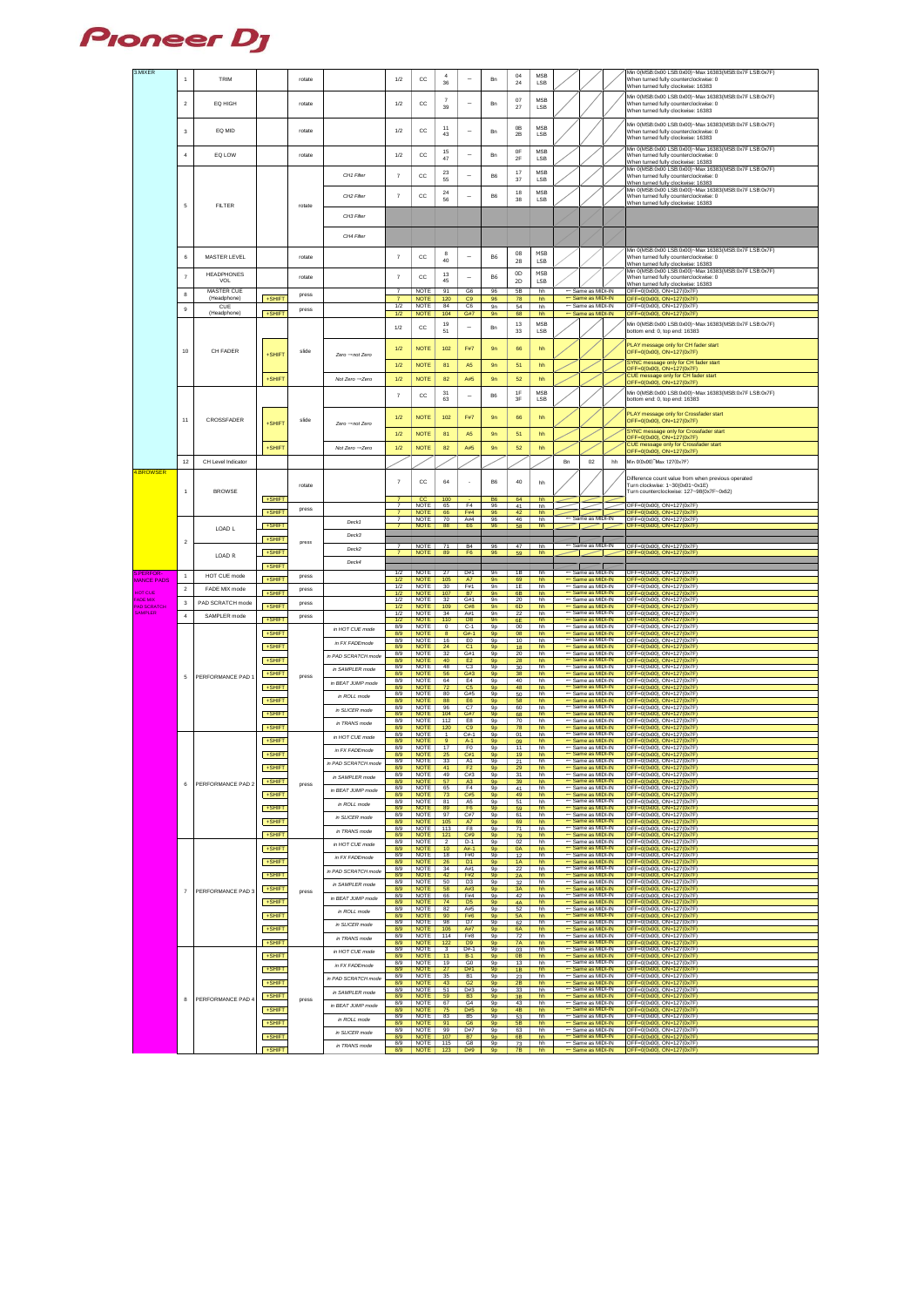

| 3.MIXER                              |                |                           |        |        |                                 |                                  |                            | $\overline{a}$       |                             |                      | 04              | <b>MSB</b>               |    |                                                              |    | Min 0(MSB:0x00 LSB:0x00)~Max 16383(MSB:0x7F LSB:0x7F)                                          |
|--------------------------------------|----------------|---------------------------|--------|--------|---------------------------------|----------------------------------|----------------------------|----------------------|-----------------------------|----------------------|-----------------|--------------------------|----|--------------------------------------------------------------|----|------------------------------------------------------------------------------------------------|
|                                      | $\overline{1}$ | <b>TRIM</b>               |        | rotate |                                 | 1/2                              | cc                         | 36                   |                             | Bn                   | 24              | <b>LSB</b>               |    |                                                              |    | When turned fully counterclockwise: 0<br>When turned fully clockwise: 16383                    |
|                                      |                |                           |        |        |                                 |                                  |                            | 7                    |                             |                      | 07              | <b>MSB</b>               |    |                                                              |    | Min 0(MSB:0x00 LSB:0x00)~Max 16383(MSB:0x7F LSB:0x7F)                                          |
|                                      | $\overline{2}$ | EQ HIGH                   |        | rotate |                                 | 1/2                              | cc                         | 39                   | $\overline{\phantom{0}}$    | Bn                   | 27              | <b>LSB</b>               |    |                                                              |    | When turned fully counterclockwise: 0<br>When turned fully clockwise: 16383                    |
|                                      |                |                           |        |        |                                 |                                  |                            |                      |                             |                      |                 |                          |    |                                                              |    |                                                                                                |
|                                      | 3              | EQ MID                    |        | rotate |                                 | 1/2                              | cc                         | 11<br>43             | $\overline{\phantom{0}}$    | Bn                   | 0B<br>2B        | <b>MSB</b><br><b>LSB</b> |    |                                                              |    | Min 0(MSB:0x00 LSB:0x00)~Max 16383(MSB:0x7F LSB:0x7F)<br>When turned fully counterclockwise: 0 |
|                                      |                |                           |        |        |                                 |                                  |                            |                      |                             |                      |                 |                          |    |                                                              |    | When turned fully clockwise: 16383                                                             |
|                                      | $\overline{4}$ | EQ LOW                    |        | rotate |                                 | 1/2                              | cc                         | 15<br>47             | $\overline{\phantom{0}}$    | Bn                   | 0F<br>2F        | <b>MSB</b><br><b>LSB</b> |    |                                                              |    | Min 0(MSB:0x00 LSB:0x00)~Max 16383(MSB:0x7F LSB:0x7F)<br>When turned fully counterclockwise: 0 |
|                                      |                |                           |        |        |                                 |                                  |                            |                      |                             |                      |                 |                          |    |                                                              |    | When turned fully clockwise: 16383<br>Min 0(MSB:0x00 LSB:0x00)~Max 16383(MSB:0x7F LSB:0x7F)    |
|                                      |                |                           |        |        | CH1 Filter                      | $\overline{7}$                   | cc                         | 23<br>55             | $\overline{\phantom{0}}$    | B <sub>6</sub>       | 17<br>37        | <b>MSB</b><br><b>LSB</b> |    |                                                              |    | When turned fully counterclockwise: 0<br>When turned fully clockwise: 16383                    |
|                                      |                |                           |        |        |                                 |                                  |                            | 24                   |                             |                      | 18              | <b>MSB</b>               |    |                                                              |    | Min 0(MSB:0x00 LSB:0x00)~Max 16383(MSB:0x7F LSB:0x7F)                                          |
|                                      | 5              | <b>FILTER</b>             |        | rotate | CH2 Filter                      | $\overline{7}$                   | cc                         | 56                   | $\overline{\phantom{0}}$    | B <sub>6</sub>       | 38              | <b>LSB</b>               |    |                                                              |    | When turned fully counterclockwise: 0<br>When turned fully clockwise: 16383                    |
|                                      |                |                           |        |        | CH3 Filter                      |                                  |                            |                      |                             |                      |                 |                          |    |                                                              |    |                                                                                                |
|                                      |                |                           |        |        |                                 |                                  |                            |                      |                             |                      |                 |                          |    |                                                              |    |                                                                                                |
|                                      |                |                           |        |        | CH4 Filter                      |                                  |                            |                      |                             |                      |                 |                          |    |                                                              |    |                                                                                                |
|                                      |                |                           |        |        |                                 |                                  |                            | 8                    |                             |                      | 08              | <b>MSB</b>               |    |                                                              |    | Min 0(MSB:0x00 LSB:0x00)~Max 16383(MSB:0x7F LSB:0x7F)                                          |
|                                      | 6              | MASTER LEVEL              |        | rotate |                                 | $\overline{7}$                   | cc                         | 40                   | $\overline{\phantom{0}}$    | <b>B6</b>            | 28              | <b>LSB</b>               |    |                                                              |    | When turned fully counterclockwise: 0<br>When turned fully clockwise: 16383                    |
|                                      | $\overline{7}$ | <b>HEADPHONES</b>         |        | rotate |                                 | $\overline{7}$                   | cc                         | 13                   | $\overline{\phantom{0}}$    | <b>B6</b>            | 0D              | <b>MSB</b>               |    |                                                              |    | Min 0(MSB:0x00 LSB:0x00)~Max 16383(MSB:0x7F LSB:0x7F)<br>When turned fully counterclockwise: 0 |
|                                      |                | VOL<br><b>MASTER CUE</b>  |        |        |                                 | $\overline{7}$                   | <b>NOTE</b>                | 45<br>91             | G6                          | 96                   | 2D<br>5B        | <b>LSB</b><br>hh         |    | $\leftarrow$ Same as MIDI-IN                                 |    | When turned fully clockwise: 16383<br>OFF=0(0x00), ON=127(0x7F)                                |
|                                      | 8              | (Headphone)               | +SHIFT | press  |                                 | $\overline{7}$                   | <b>NOTE</b>                | 120                  | C9                          | 96                   | 78              | hh                       |    | ← Same as MIDI-IN                                            |    | OFF=0(0x00), ON=127(0x7F)                                                                      |
|                                      | 9              | <b>CUE</b><br>(Headphone) | +SHIFT | press  |                                 | 1/2<br>1/2                       | <b>NOTE</b><br><b>NOTE</b> | 84<br>104            | C6<br>G#7                   | 9n<br>9n             | 54<br>68        | hh<br>hh                 |    | $\leftarrow$ Same as MIDI-IN<br>$\leftarrow$ Same as MIDI-IN |    | OFF=0(0x00), ON=127(0x7F)<br>OFF=0(0x00), ON=127(0x7F)                                         |
|                                      |                |                           |        |        |                                 | 1/2                              | cc                         | 19                   | $\overline{\phantom{0}}$    | Bn                   | 13              | <b>MSB</b>               |    |                                                              |    | Min 0(MSB:0x00 LSB:0x00)~Max 16383(MSB:0x7F LSB:0x7F)                                          |
|                                      |                |                           |        |        |                                 |                                  |                            | 51                   |                             |                      | 33              | <b>LSB</b>               |    |                                                              |    | bottom end: 0, top end: 16383                                                                  |
|                                      | 10             | CH FADER                  |        | slide  |                                 | 1/2                              | <b>NOTE</b>                | 102                  | F#7                         | 9n                   | 66              | hh                       |    |                                                              |    | PLAY message only for CH fader start<br>OFF=0(0x00), ON=127(0x7F)                              |
|                                      |                |                           | +SHIFT |        | $Zero \rightarrow not$ Zero     | 1/2                              | <b>NOTE</b>                | 81                   | A5                          | 9n                   | 51              | hh                       |    |                                                              |    | SYNC message only for CH fader start                                                           |
|                                      |                |                           |        |        |                                 |                                  |                            |                      |                             |                      |                 |                          |    |                                                              |    | OFF=0(0x00), ON=127(0x7F)<br>CUE message only for CH fader start                               |
|                                      |                |                           | +SHIFT |        | Not Zero $\rightarrow$ Zero     | 1/2                              | <b>NOTE</b>                | 82                   | A#5                         | 9n                   | 52              | hh                       |    |                                                              |    | OFF=0(0x00), ON=127(0x7F)                                                                      |
|                                      |                |                           |        |        |                                 | $\overline{7}$                   | cc                         | 31<br>63             |                             | B <sub>6</sub>       | 1F<br>3F        | <b>MSB</b><br><b>LSB</b> |    |                                                              |    | Min 0(MSB:0x00 LSB:0x00)~Max 16383(MSB:0x7F LSB:0x7F)<br>bottom end: 0, top end: 16383         |
|                                      |                |                           |        |        |                                 |                                  |                            |                      |                             |                      |                 |                          |    |                                                              |    |                                                                                                |
|                                      | 11             | CROSSFADER                | +SHIFT | slide  | $Zero \rightarrow not$ Zero     | 1/2                              | <b>NOTE</b>                | 102                  | F#7                         | 9n                   | 66              | hh                       |    |                                                              |    | PLAY message only for Crossfader start<br>OFF=0(0x00), ON=127(0x7F)                            |
|                                      |                |                           |        |        |                                 | 1/2                              | <b>NOTE</b>                | 81                   | A5                          | 9n                   | 51              | hh                       |    |                                                              |    | SYNC message only for Crossfader start                                                         |
|                                      |                |                           | +SHIFT |        | Not Zero $\rightarrow$ Zero     | 1/2                              | <b>NOTE</b>                | 82                   | A#5                         | 9n                   | 52              | hh                       |    |                                                              |    | OFF=0(0x00), ON=127(0x7F)<br>CUE message only for Crossfader start                             |
|                                      |                |                           |        |        |                                 |                                  |                            |                      |                             |                      |                 |                          |    |                                                              |    | OFF=0(0x00), ON=127(0x7F)                                                                      |
| 4.BROWSER                            | 12             | CH Level Indicator        |        |        |                                 |                                  |                            |                      |                             |                      |                 |                          | Bn | 02                                                           | hh | Min 0(0x00) Max 127(0x7F)                                                                      |
|                                      |                |                           |        |        |                                 | $\overline{7}$                   | cc                         | 64                   |                             | B <sub>6</sub>       | 40              | hh                       |    |                                                              |    | Difference count value from when previous operated                                             |
|                                      | $\overline{1}$ | <b>BROWSE</b>             |        | rotate |                                 |                                  |                            |                      |                             |                      |                 |                          |    |                                                              |    | Turn clockwise: 1~30(0x01~0x1E)<br>Turn counterclockwise: 127~98(0x7F~0x62)                    |
|                                      |                |                           | +SHIFT |        |                                 | $\overline{7}$<br>$\overline{7}$ | cc<br><b>NOTE</b>          | 100<br>65            | in 1<br>F <sub>4</sub>      | <b>B6</b><br>96      | 64<br>41        | hh<br>hh                 |    |                                                              |    | OFF=0(0x00), ON=127(0x7F)                                                                      |
|                                      |                |                           | +SHIFT | press  |                                 | $\overline{7}$<br>$\overline{7}$ | <b>NOTE</b><br>NOTE        | 66<br>70             | <b>F#4</b><br>A#4           | 96<br>96             | 42<br>46        | hh<br>hh                 |    | $\leftarrow$ Same as MIDI-IN                                 |    | OFF=0(0x00), ON=127(0x7F)<br>OFF=0(0x00), ON=127(0x7F)                                         |
|                                      |                | LOAD L                    | +SHIFT |        | Deck1                           | $\overline{7}$                   | <b>NOTE</b>                | 88                   | E <sub>6</sub>              | 96                   | 58              | hh                       |    |                                                              |    | OFF=0(0x00), ON=127(0x7F)                                                                      |
|                                      | $\overline{2}$ |                           | +SHIFT | press  | Deck3                           | $\overline{7}$                   |                            |                      |                             | 96                   | 47              |                          |    | $\leftarrow$ Same as MIDI-IN                                 |    |                                                                                                |
|                                      |                | LOAD R                    | +SHIFT |        | Deck2                           |                                  | NOTE  <br><b>NOTE</b>      | 71<br>89             | <b>B4</b><br>F <sub>6</sub> | 96                   | 59              | hh<br>hh                 |    |                                                              |    | OFF=0(0x00), ON=127(0x7F)<br>OFF=0(0x00), ON=127(0x7F)                                         |
|                                      |                |                           |        |        |                                 |                                  |                            |                      |                             |                      |                 |                          |    |                                                              |    |                                                                                                |
|                                      |                |                           | +SHIFT |        | Deck4                           |                                  |                            |                      |                             |                      |                 |                          |    |                                                              |    |                                                                                                |
| 5.PERFOR-<br><b>MANCE PADS</b>       | $\mathbf{1}$   | HOT CUE mode              | +SHIFT | press  |                                 | 1/2<br>1/2                       | NOTE<br><b>NOTE</b>        | 27<br>105            | D#1<br>A7                   | 9n<br>9n             | 1B<br>69        | hh<br>hh                 |    | ← Same as MIDI-IN<br>$\leftarrow$ Same as MIDI-IN            |    | OFF=0(0x00), ON=127(0x7F)<br>OFF=0(0x00), ON=127(0x7F)                                         |
| <b>HOT CUE</b>                       | $\overline{2}$ | FADE MIX mode             |        | press  |                                 | 1/2                              | NOTE                       | 30                   | F#1                         | 9n                   | 1E              | hh                       |    | $\leftarrow$ Same as MIDI-IN                                 |    | OFF=0(0x00), ON=127(0x7F)                                                                      |
| <b>FADE MIX</b>                      | 3              | PAD SCRATCH mode          | +SHIFT | press  |                                 | 1/2<br>1/2                       | <b>NOTE</b><br>NOTE        | 107<br>32            | B7<br>G#1                   | 9n<br>9n             | 6B<br>20        | hh<br>hh                 |    | ← Same as MIDI-IN<br>$\leftarrow$ Same as MIDI-IN            |    | OFF=0(0x00), ON=127(0x7F)<br>OFF=0(0x00), ON=127(0x7F)                                         |
| <b>PAD SCRATCH</b><br><b>SAMPLER</b> | $\overline{4}$ | SAMPLER mode              | +SHIFT | press  |                                 | 1/2<br>1/2                       | <b>NOTE</b><br>NOTE        | 109<br>34            | C#8<br>A#1                  | 9n<br>9n             | 6D<br>22        | hh<br>hh                 |    | $\leftarrow$ Same as MIDI-IN<br>$\leftarrow$ Same as MIDI-IN |    | OFF=0(0x00), ON=127(0x7F)<br>OFF=0(0x00), ON=127(0x7F)                                         |
|                                      |                |                           | +SHIFT |        | in HOT CUE mode                 | 1/2<br>8/9                       | <b>NOTE</b><br>NOTE        | 110<br>$\mathbf{0}$  | D <sub>8</sub><br>$C-1$     | 9n<br>9p             | 6E<br>$00\,$    | hh<br>hh                 |    | $\leftarrow$ Same as MIDI-IN<br>$\leftarrow$ Same as MIDI-IN |    | OFF=0(0x00), ON=127(0x7F)<br>OFF=0(0x00), ON=127(0x7F)                                         |
|                                      |                |                           | +SHIFT |        |                                 | 8/9<br>8/9                       | <b>NOTE</b><br><b>NOTE</b> | 8<br>16              | $G#-1$<br>E0                | 9p<br>9p             | 08<br>10        | hh<br>hh                 |    | $\leftarrow$ Same as MIDI-IN<br>$\leftarrow$ Same as MIDI-IN |    | OFF=0(0x00), ON=127(0x7F)<br>OFF=0(0x00), ON=127(0x7F)                                         |
|                                      |                |                           | +SHIFT |        | in FX FADEmode                  | 8/9<br>8/9                       | <b>NOTE</b><br><b>NOTE</b> | 24<br>32             | C <sub>1</sub><br>G#1       | 9p<br>9p             | 18<br>20        | hh<br>hh                 |    | $\leftarrow$ Same as MIDI-IN<br>$\leftarrow$ Same as MIDI-IN |    | OFF=0(0x00), ON=127(0x7F)<br>OFF=0(0x00), ON=127(0x7F)                                         |
|                                      |                |                           | +SHIFT |        | in PAD SCRATCH mode             | 8/9<br>8/9                       | <b>NOTE</b><br>NOTE        | 40<br>48             | E <sub>2</sub><br>C3        | 9p<br>9p             | 28              | hh<br>hh                 |    | $\leftarrow$ Same as MIDI-IN<br>$\leftarrow$ Same as MIDI-IN |    | OFF=0(0x00), ON=127(0x7F<br>OFF=0(0x00), ON=127(0x7F)                                          |
|                                      | 5              | PERFORMANCE PAD 1         | +SHIFT | press  | in SAMPLER mode                 | 8/9                              | <b>NOTE</b>                | 56                   | G#3                         | 9p                   | 30<br>38        | hh                       |    | ← Same as MIDI-IN                                            |    | OFF=0(0x00), ON=127(0x7F                                                                       |
|                                      |                |                           | +SHIFT |        | in BEAT JUMP mode               | 8/9<br>8/9                       | NOTE<br><b>NOTE</b>        | 64<br>72             | E4<br>C <sub>5</sub>        | 9p<br>9p             | 40<br>48        | hh<br>hh                 |    | $\leftarrow$ Same as MIDI-IN<br>← Same as MIDI-IN            |    | OFF=0(0x00), ON=127(0x7F)<br>OFF=0(0x00), ON=127(0x7F)                                         |
|                                      |                |                           | +SHIFT |        | in ROLL mode                    | 8/9<br>8/9                       | NOTE<br><b>NOTE</b>        | 80<br>88             | G#5<br>E <sub>6</sub>       | 9p<br>9p             | 50<br>58        | hh<br>hh                 |    | $\leftarrow$ Same as MIDI-IN<br>$\leftarrow$ Same as MIDI-IN |    | OFF=0(0x00), ON=127(0x7F)<br>OFF=0(0x00), ON=127(0x7F                                          |
|                                      |                |                           | +SHIFT |        | in SLICER mode                  | 8/9<br>8/9                       | NOTE<br><b>NOTE</b>        | 96<br>104            | C7<br><b>G#7</b>            | 9p<br>9p             | 60<br>68        | hh<br>hh                 |    | $\leftarrow$ Same as MIDI-IN<br>← Same as MIDI-IN            |    | OFF=0(0x00), ON=127(0x7F)<br>OFF=0(0x00), ON=127(0x7F)                                         |
|                                      |                |                           | +SHIFT |        | in TRANS mode                   | 8/9<br>8/9                       | NOTE<br><b>NOTE</b>        | 112<br>120           | E8<br>C9                    | 9p<br>9p             | 70<br>78        | hh<br>hh                 |    | $\leftarrow$ Same as MIDI-IN<br>← Same as MIDI-IN            |    | OFF=0(0x00), ON=127(0x7F)<br>OFF=0(0x00), ON=127(0x7F)                                         |
|                                      |                |                           |        |        | in HOT CUE mode                 | 8/9                              | <b>NOTE</b>                | $\overline{1}$       | $C#-1$                      | 9p                   | 01              | hh                       |    | $\leftarrow$ Same as MIDI-IN                                 |    | OFF=0(0x00), ON=127(0x7F)                                                                      |
|                                      |                |                           | +SHIFT |        | in FX FADEmode                  | 8/9<br>8/9                       | <b>NOTE</b><br>NOTE        | -9<br>17             | $A-1$<br>F <sub>0</sub>     | 9p<br>9p             | 09<br>11        | hh<br>hh                 |    | $\leftarrow$ Same as MIDI-IN<br>$\leftarrow$ Same as MIDI-IN |    | OFF=0(0x00), ON=127(0x7F)<br>OFF=0(0x00), ON=127(0x7F)                                         |
|                                      |                |                           | +SHIFT |        | in PAD SCRATCH mode             | 8/9<br>8/9                       | <b>NOTE</b><br>NOTE        | 25<br>33             | C#1<br>A1                   | 9p<br>9p             | 19<br>21        | hh<br>hh                 |    | $\leftarrow$ Same as MIDI-IN<br>$\leftarrow$ Same as MIDI-IN |    | OFF=0(0x00), ON=127(0x7F)<br>OFF=0(0x00), ON=127(0x7F)                                         |
|                                      |                |                           | +SHIFT |        |                                 | 8/9<br>8/9                       | <b>NOTE</b><br>NOTE        | 41<br>49             | F <sub>2</sub><br>C#3       | 9p<br>9p             | 29<br>31        | hh<br>hh                 |    | $\leftarrow$ Same as MIDI-IN<br>$\leftarrow$ Same as MIDI-IN |    | OFF=0(0x00), ON=127(0x7F)<br>OFF=0(0x00), ON=127(0x7F)                                         |
|                                      | 6              | PERFORMANCE PAD 2         | +SHIFT | press  | in SAMPLER mode                 | 8/9<br>8/9                       | <b>NOTE</b><br>NOTE        | 57<br>65             | A3<br>F <sub>4</sub>        | 9p<br>9p             | 39<br>41        | hh<br>hh                 |    | $\leftarrow$ Same as MIDI-IN<br>$\leftarrow$ Same as MIDI-IN |    | OFF=0(0x00), ON=127(0x7F<br>OFF=0(0x00), ON=127(0x7F)                                          |
|                                      |                |                           | +SHIFT |        | in BEAT JUMP mode               | 8/9<br>8/9                       | <b>NOTE</b><br>NOTE        | 73<br>81             | C#5<br>A5                   | 9p<br>9p             | 49<br>51        | hh<br>hh                 |    | $\leftarrow$ Same as MIDI-IN<br>← Same as MIDI-IN            |    | OFF=0(0x00), ON=127(0x7F<br>OFF=0(0x00), ON=127(0x7F)                                          |
|                                      |                |                           | +SHIFT |        | in ROLL mode                    | 8/9                              | <b>NOTE</b>                | 89                   | F <sub>6</sub>              | 9p                   | 59              | hh                       |    | $\leftarrow$ Same as MIDI-IN                                 |    | OFF=0(0x00), ON=127(0x7F                                                                       |
|                                      |                |                           | +SHIFT |        | in SLICER mode                  | 8/9<br>8/9                       | <b>NOTE</b><br><b>NOTE</b> | 97<br>105            | C#7<br>A7                   | 9p<br>9p             | 61<br>69        | hh<br>hh                 |    | $\leftarrow$ Same as MIDI-IN<br>$\leftarrow$ Same as MIDI-IN |    | OFF=0(0x00), ON=127(0x7F)<br>OFF=0(0x00), ON=127(0x7F                                          |
|                                      |                |                           | +SHIFT |        | in TRANS mode                   | 8/9<br>8/9                       | NOTE<br><b>NOTE</b>        | 113<br>121           | F8<br>C#9                   | 9p<br>9p             | 71<br>79        | hh<br>hh                 |    | $\leftarrow$ Same as MIDI-IN<br>← Same as MIDI-IN            |    | OFF=0(0x00), ON=127(0x7F)<br>OFF=0(0x00), ON=127(0x7F                                          |
|                                      |                |                           | +SHIFT |        | in HOT CUE mode                 | 8/9<br>8/9                       | <b>NOTE</b><br><b>NOTE</b> | 2<br>10 <sub>1</sub> | $D-1$<br>A#-1               | 9p<br>9p             | 02<br>0A        | hh<br>hh                 |    | $\leftarrow$ Same as MIDI-IN<br>← Same as MIDI-IN            |    | OFF=0(0x00), ON=127(0x7F)<br>OFF=0(0x00), ON=127(0x7F                                          |
|                                      |                |                           | +SHIFT |        | in FX FADEmode                  | 8/9<br>8/9                       | <b>NOTE</b><br><b>NOTE</b> | 18<br>26             | F#0<br>D <sub>1</sub>       | 9p<br>9p             | 12<br>1A        | hh<br>hh                 |    | $\leftarrow$ Same as MIDI-IN<br>← Same as MIDI-IN            |    | OFF=0(0x00), ON=127(0x7F)<br>OFF=0(0x00), ON=127(0x7F                                          |
|                                      |                |                           |        |        | in PAD SCRATCH mode             | 8/9<br>8/9                       | NOTE                       | 34                   | A#1                         | 9p                   | 22              | hh                       |    | $\leftarrow$ Same as MIDI-IN                                 |    | OFF=0(0x00), ON=127(0x7F)                                                                      |
|                                      |                |                           | +SHIFT |        | in SAMPLER mode                 | 8/9                              | <b>NOTE</b><br>NOTE        | 42<br>50             | F#2<br>D <sub>3</sub>       | 9p<br>9p             | 2A<br>32        | hh<br>hh                 |    | ← Same as MIDI-IN<br>$\leftarrow$ Same as MIDI-IN            |    | DFF=0(0x00), ON=127(0x7F<br>OFF=0(0x00), ON=127(0x7F)                                          |
|                                      | $\overline{7}$ | PERFORMANCE PAD 3         | +SHIFT | press  | in BEAT JUMP mode               | 8/9<br>8/9                       | <b>NOTE</b><br>NOTE        | 58<br>66             | A#3<br>F#4                  | 9p<br>9p             | 3A<br>42        | hh<br>hh                 |    | ← Same as MIDI-IN<br>$\leftarrow$ Same as MIDI-IN            |    | OFF=0(0x00), ON=127(0x7F)<br>OFF=0(0x00), ON=127(0x7F)                                         |
|                                      |                |                           | +SHIFT |        |                                 | 8/9<br>8/9                       | <b>NOTE</b><br>NOTE        | 74<br>82             | D <sub>5</sub><br>A#5       | 9p<br>9p             | 4A<br>52        | hh<br>hh                 |    | $\leftarrow$ Same as MIDI-IN<br>$\leftarrow$ Same as MIDI-IN |    | OFF=0(0x00), ON=127(0x7F)<br>OFF=0(0x00), ON=127(0x7F)                                         |
|                                      |                |                           | +SHIFT |        | in ROLL mode                    | 8/9<br>8/9                       | <b>NOTE</b><br>NOTE        | 90<br>98             | F#6<br>D7                   | 9p<br>9p             | 5A<br>62        | hh<br>hh                 |    | $\leftarrow$ Same as MIDI-IN<br>$\leftarrow$ Same as MIDI-IN |    | OFF=0(0x00), ON=127(0x7F<br>OFF=0(0x00), ON=127(0x7F)                                          |
|                                      |                |                           | +SHIFT |        | in SLICER mode                  | 8/9                              | <b>NOTE</b>                | 106                  | A#7                         | 9p                   | 6A              | hh                       |    | $\leftarrow$ Same as MIDI-IN<br>$\leftarrow$ Same as MIDI-IN |    | OFF=0(0x00), ON=127(0x7F)                                                                      |
|                                      |                |                           | +SHIFT |        | in TRANS mode                   | 8/9<br>8/9                       | NOTE<br><b>NOTE</b>        | 114<br>122           | F#8<br>D <sub>9</sub>       | 9p<br>9p             | 72<br><b>7A</b> | hh<br>hh                 |    | $\leftarrow$ Same as MIDI-IN                                 |    | OFF=0(0x00), ON=127(0x7F)<br>OFF=0(0x00), ON=127(0x7F)                                         |
|                                      |                |                           | +SHIFT |        | in HOT CUE mode                 | 8/9<br>8/9                       | NOTE<br><b>NOTE</b>        | 3<br>11 <sub>1</sub> | $D#-1$<br>$B-1$             | 9p<br>9p             | 03<br>0B        | hh<br>hh                 |    | $\leftarrow$ Same as MIDI-IN<br>$\leftarrow$ Same as MIDI-IN |    | OFF=0(0x00), ON=127(0x7F)<br>OFF=0(0x00), ON=127(0x7F)                                         |
|                                      |                |                           | +SHIFT |        | in FX FADEmode                  | 8/9<br>8/9                       | NOTE<br><b>NOTE</b>        | 19<br>27             | G <sub>0</sub><br>D#1       | 9p<br>9p             | 13<br>1B        | hh<br>hh                 |    | $\leftarrow$ Same as MIDI-IN<br>$\leftarrow$ Same as MIDI-IN |    | OFF=0(0x00), ON=127(0x7F)<br>OFF=0(0x00), ON=127(0x7F)                                         |
|                                      |                |                           | +SHIFT |        | in PAD SCRATCH mode             | 8/9<br>8/9                       | NOTE<br><b>NOTE</b>        | 35<br>43             | <b>B1</b><br>G2             | 9p<br>9 <sub>D</sub> | 23<br>2B        | hh<br>hh                 |    | $\leftarrow$ Same as MIDI-IN<br>$\leftarrow$ Same as MIDI-IN |    | OFF=0(0x00), ON=127(0x7F)<br>$OFF=0(0x00)$ . $ON=127(0x7F)$                                    |
|                                      |                |                           |        |        | in SAMPLER mode                 | 8/9                              | <b>NOTE</b>                | 51                   | D#3                         | 9p                   | 33              | hh                       |    | $\leftarrow$ Same as MIDI-IN                                 |    | OFF=0(0x00), ON=127(0x7F)                                                                      |
|                                      | 8              | PERFORMANCE PAD 4         | +SHIFT | press  | in BEAT JUMP mode               | 8/9<br>8/9                       | <b>NOTE</b><br><b>NOTE</b> | 59<br>67             | <b>B3</b><br>G4             | 9p<br>9p             | 3B<br>43        | hh<br>hh                 |    | ← Same as MIDI-IN<br>$\leftarrow$ Same as MIDI-IN            |    | OFF=0(0x00), ON=127(0x7F<br>OFF=0(0x00), ON=127(0x7F)                                          |
|                                      |                |                           | +SHIFT |        | in ROLL mode                    | 8/9<br>8/9                       | <b>NOTE</b><br>NOTE        | 75<br>83             | D#5<br>B <sub>5</sub>       | 9p<br>9p             | 4B<br>53        | hh<br>hh                 |    | ← Same as MIDI-IN<br>$\leftarrow$ Same as MIDI-IN            |    | OFF=0(0x00), ON=127(0x7F)<br>OFF=0(0x00), ON=127(0x7F)                                         |
|                                      |                |                           | +SHIFT |        |                                 | 8/9<br>8/9                       | <b>NOTE</b><br>NOTE        | 91<br>99             | G <sub>6</sub><br>D#7       | 9p<br>9p             | 5B<br>63        | hh<br>hh                 |    | $\leftarrow$ Same as MIDI-IN<br>$\leftarrow$ Same as MIDI-IN |    | OFF=0(0x00), ON=127(0x7F<br>OFF=0(0x00), ON=127(0x7F)                                          |
|                                      |                |                           | +SHIFT |        | in SLICER mode<br>in TRANS mode | 8/9<br>8/9                       | <b>NOTE</b><br>NOTE        | 107<br>115           | B7<br>G8                    | 9 <sub>p</sub><br>9p | 6B<br>73        | hh<br>hh                 |    | ← Same as MIDI-IN<br>$\leftarrow$ Same as MIDI-IN            |    | OFF=0(0x00), ON=127(0x7F<br>OFF=0(0x00), ON=127(0x7F)                                          |